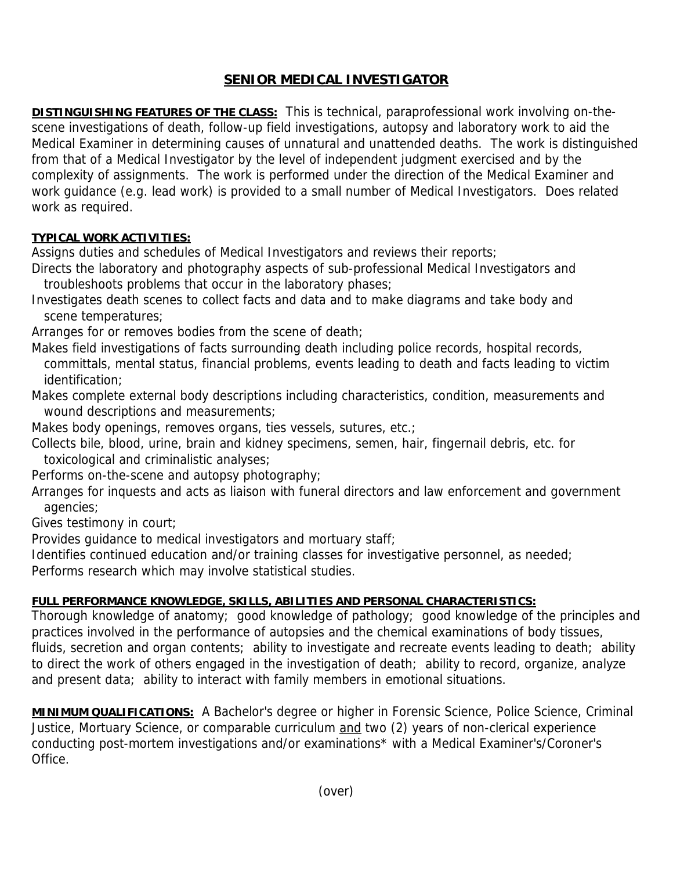## **SENIOR MEDICAL INVESTIGATOR**

**DISTINGUISHING FEATURES OF THE CLASS:** This is technical, paraprofessional work involving on-thescene investigations of death, follow-up field investigations, autopsy and laboratory work to aid the Medical Examiner in determining causes of unnatural and unattended deaths. The work is distinguished from that of a Medical Investigator by the level of independent judgment exercised and by the complexity of assignments. The work is performed under the direction of the Medical Examiner and work guidance (e.g. lead work) is provided to a small number of Medical Investigators. Does related work as required.

## **TYPICAL WORK ACTIVITIES:**

Assigns duties and schedules of Medical Investigators and reviews their reports;

- Directs the laboratory and photography aspects of sub-professional Medical Investigators and troubleshoots problems that occur in the laboratory phases;
- Investigates death scenes to collect facts and data and to make diagrams and take body and scene temperatures;
- Arranges for or removes bodies from the scene of death;
- Makes field investigations of facts surrounding death including police records, hospital records, committals, mental status, financial problems, events leading to death and facts leading to victim identification;
- Makes complete external body descriptions including characteristics, condition, measurements and wound descriptions and measurements;
- Makes body openings, removes organs, ties vessels, sutures, etc.;
- Collects bile, blood, urine, brain and kidney specimens, semen, hair, fingernail debris, etc. for toxicological and criminalistic analyses;
- Performs on-the-scene and autopsy photography;
- Arranges for inquests and acts as liaison with funeral directors and law enforcement and government agencies;
- Gives testimony in court;

Provides guidance to medical investigators and mortuary staff;

Identifies continued education and/or training classes for investigative personnel, as needed;

Performs research which may involve statistical studies.

## **FULL PERFORMANCE KNOWLEDGE, SKILLS, ABILITIES AND PERSONAL CHARACTERISTICS:**

Thorough knowledge of anatomy; good knowledge of pathology; good knowledge of the principles and practices involved in the performance of autopsies and the chemical examinations of body tissues, fluids, secretion and organ contents; ability to investigate and recreate events leading to death; ability to direct the work of others engaged in the investigation of death; ability to record, organize, analyze and present data; ability to interact with family members in emotional situations.

**MINIMUM QUALIFICATIONS:** A Bachelor's degree or higher in Forensic Science, Police Science, Criminal Justice, Mortuary Science, or comparable curriculum and two (2) years of non-clerical experience conducting post-mortem investigations and/or examinations\* with a Medical Examiner's/Coroner's Office.